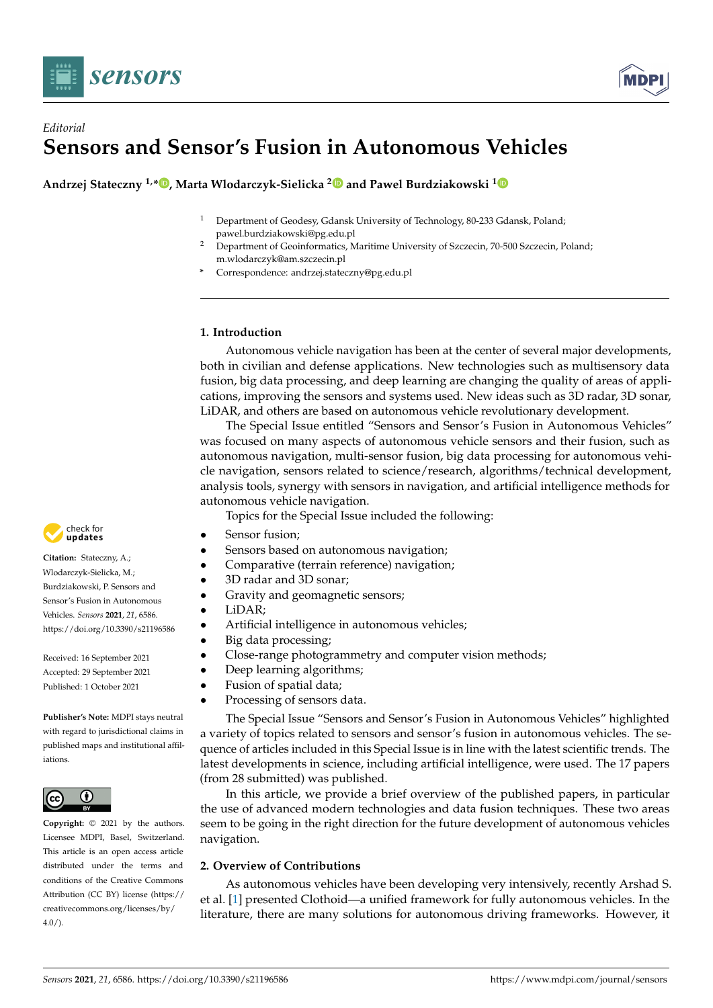

# *Editorial* **Sensors and Sensor's Fusion in Autonomous Vehicles**

**Andrzej Stateczny 1,[\\*](https://orcid.org/0000-0002-4671-6827) , Marta Wlodarczyk-Sielicka [2](https://orcid.org/0000-0002-7489-8437) and Pawel Burdziakowski [1](https://orcid.org/0000-0002-2869-5727)**

- <sup>1</sup> Department of Geodesy, Gdansk University of Technology, 80-233 Gdansk, Poland; pawel.burdziakowski@pg.edu.pl
- <sup>2</sup> Department of Geoinformatics, Maritime University of Szczecin, 70-500 Szczecin, Poland; m.wlodarczyk@am.szczecin.pl
- **\*** Correspondence: andrzej.stateczny@pg.edu.pl

## **1. Introduction**

Autonomous vehicle navigation has been at the center of several major developments, both in civilian and defense applications. New technologies such as multisensory data fusion, big data processing, and deep learning are changing the quality of areas of applications, improving the sensors and systems used. New ideas such as 3D radar, 3D sonar, LiDAR, and others are based on autonomous vehicle revolutionary development.

The Special Issue entitled "Sensors and Sensor's Fusion in Autonomous Vehicles" was focused on many aspects of autonomous vehicle sensors and their fusion, such as autonomous navigation, multi-sensor fusion, big data processing for autonomous vehicle navigation, sensors related to science/research, algorithms/technical development, analysis tools, synergy with sensors in navigation, and artificial intelligence methods for autonomous vehicle navigation.

Topics for the Special Issue included the following:

- Sensor fusion:
	- Sensors based on autonomous navigation;
- Comparative (terrain reference) navigation;
- 3D radar and 3D sonar;
- Gravity and geomagnetic sensors;
- LiDAR;
- Artificial intelligence in autonomous vehicles;
- Big data processing;
- Close-range photogrammetry and computer vision methods;
- Deep learning algorithms;
- Fusion of spatial data;
- Processing of sensors data.

The Special Issue "Sensors and Sensor's Fusion in Autonomous Vehicles" highlighted a variety of topics related to sensors and sensor's fusion in autonomous vehicles. The sequence of articles included in this Special Issue is in line with the latest scientific trends. The latest developments in science, including artificial intelligence, were used. The 17 papers (from 28 submitted) was published.

In this article, we provide a brief overview of the published papers, in particular the use of advanced modern technologies and data fusion techniques. These two areas seem to be going in the right direction for the future development of autonomous vehicles navigation.

### **2. Overview of Contributions**

As autonomous vehicles have been developing very intensively, recently Arshad S. et al. [\[1\]](#page-6-0) presented Clothoid—a unified framework for fully autonomous vehicles. In the literature, there are many solutions for autonomous driving frameworks. However, it



**Citation:** Stateczny, A.; Wlodarczyk-Sielicka, M.; Burdziakowski, P. Sensors and Sensor's Fusion in Autonomous Vehicles. *Sensors* **2021**, *21*, 6586. <https://doi.org/10.3390/s21196586>

Received: 16 September 2021 Accepted: 29 September 2021 Published: 1 October 2021

**Publisher's Note:** MDPI stays neutral with regard to jurisdictional claims in published maps and institutional affiliations.



**Copyright:** © 2021 by the authors. Licensee MDPI, Basel, Switzerland. This article is an open access article distributed under the terms and conditions of the Creative Commons Attribution (CC BY) license (https:/[/](https://creativecommons.org/licenses/by/4.0/) [creativecommons.org/licenses/by/](https://creativecommons.org/licenses/by/4.0/)  $4.0/$ ).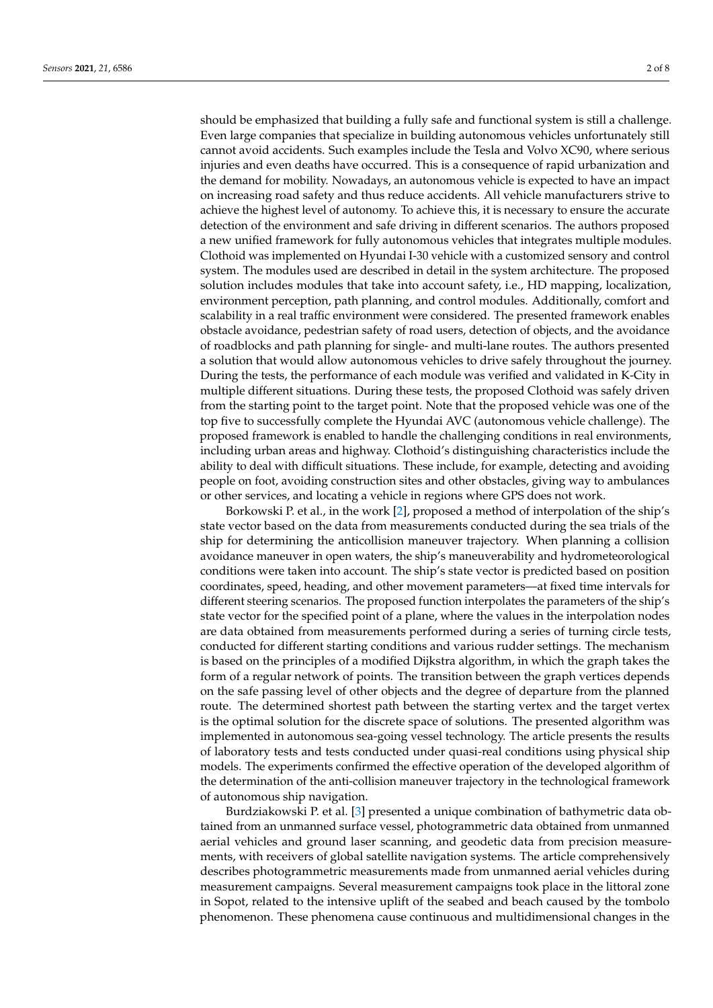should be emphasized that building a fully safe and functional system is still a challenge. Even large companies that specialize in building autonomous vehicles unfortunately still cannot avoid accidents. Such examples include the Tesla and Volvo XC90, where serious injuries and even deaths have occurred. This is a consequence of rapid urbanization and the demand for mobility. Nowadays, an autonomous vehicle is expected to have an impact on increasing road safety and thus reduce accidents. All vehicle manufacturers strive to achieve the highest level of autonomy. To achieve this, it is necessary to ensure the accurate detection of the environment and safe driving in different scenarios. The authors proposed a new unified framework for fully autonomous vehicles that integrates multiple modules. Clothoid was implemented on Hyundai I-30 vehicle with a customized sensory and control system. The modules used are described in detail in the system architecture. The proposed solution includes modules that take into account safety, i.e., HD mapping, localization, environment perception, path planning, and control modules. Additionally, comfort and scalability in a real traffic environment were considered. The presented framework enables obstacle avoidance, pedestrian safety of road users, detection of objects, and the avoidance of roadblocks and path planning for single- and multi-lane routes. The authors presented a solution that would allow autonomous vehicles to drive safely throughout the journey. During the tests, the performance of each module was verified and validated in K-City in multiple different situations. During these tests, the proposed Clothoid was safely driven from the starting point to the target point. Note that the proposed vehicle was one of the top five to successfully complete the Hyundai AVC (autonomous vehicle challenge). The proposed framework is enabled to handle the challenging conditions in real environments, including urban areas and highway. Clothoid's distinguishing characteristics include the ability to deal with difficult situations. These include, for example, detecting and avoiding people on foot, avoiding construction sites and other obstacles, giving way to ambulances or other services, and locating a vehicle in regions where GPS does not work.

Borkowski P. et al., in the work [\[2\]](#page-6-1), proposed a method of interpolation of the ship's state vector based on the data from measurements conducted during the sea trials of the ship for determining the anticollision maneuver trajectory. When planning a collision avoidance maneuver in open waters, the ship's maneuverability and hydrometeorological conditions were taken into account. The ship's state vector is predicted based on position coordinates, speed, heading, and other movement parameters—at fixed time intervals for different steering scenarios. The proposed function interpolates the parameters of the ship's state vector for the specified point of a plane, where the values in the interpolation nodes are data obtained from measurements performed during a series of turning circle tests, conducted for different starting conditions and various rudder settings. The mechanism is based on the principles of a modified Dijkstra algorithm, in which the graph takes the form of a regular network of points. The transition between the graph vertices depends on the safe passing level of other objects and the degree of departure from the planned route. The determined shortest path between the starting vertex and the target vertex is the optimal solution for the discrete space of solutions. The presented algorithm was implemented in autonomous sea-going vessel technology. The article presents the results of laboratory tests and tests conducted under quasi-real conditions using physical ship models. The experiments confirmed the effective operation of the developed algorithm of the determination of the anti-collision maneuver trajectory in the technological framework of autonomous ship navigation.

Burdziakowski P. et al. [\[3\]](#page-7-0) presented a unique combination of bathymetric data obtained from an unmanned surface vessel, photogrammetric data obtained from unmanned aerial vehicles and ground laser scanning, and geodetic data from precision measurements, with receivers of global satellite navigation systems. The article comprehensively describes photogrammetric measurements made from unmanned aerial vehicles during measurement campaigns. Several measurement campaigns took place in the littoral zone in Sopot, related to the intensive uplift of the seabed and beach caused by the tombolo phenomenon. These phenomena cause continuous and multidimensional changes in the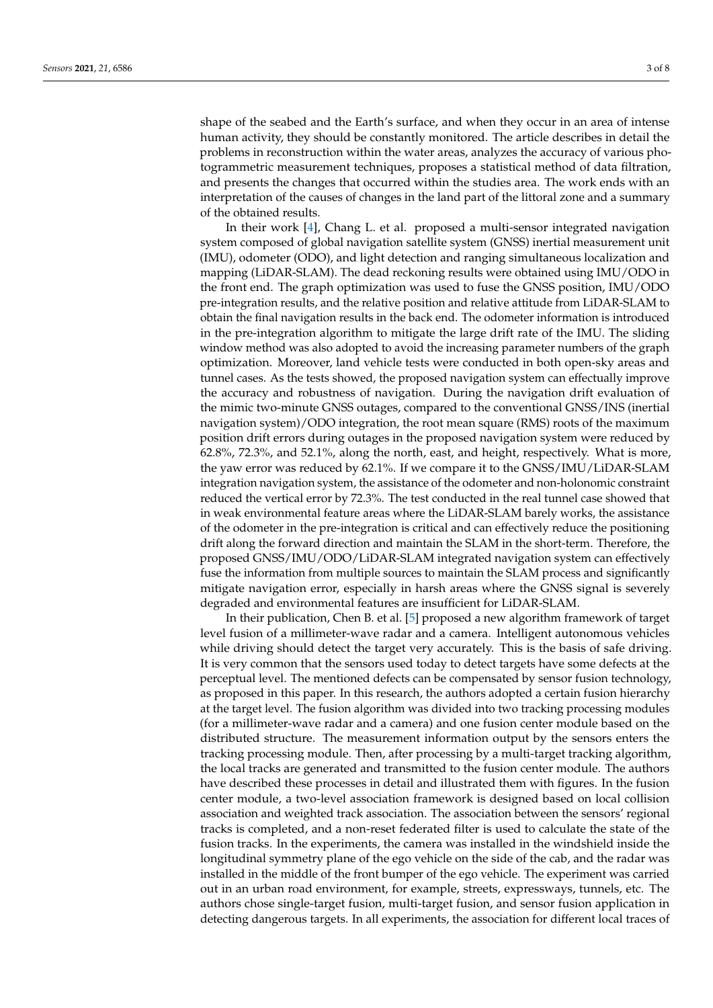shape of the seabed and the Earth's surface, and when they occur in an area of intense human activity, they should be constantly monitored. The article describes in detail the problems in reconstruction within the water areas, analyzes the accuracy of various photogrammetric measurement techniques, proposes a statistical method of data filtration, and presents the changes that occurred within the studies area. The work ends with an interpretation of the causes of changes in the land part of the littoral zone and a summary of the obtained results.

In their work [\[4\]](#page-7-1), Chang L. et al. proposed a multi-sensor integrated navigation system composed of global navigation satellite system (GNSS) inertial measurement unit (IMU), odometer (ODO), and light detection and ranging simultaneous localization and mapping (LiDAR-SLAM). The dead reckoning results were obtained using IMU/ODO in the front end. The graph optimization was used to fuse the GNSS position, IMU/ODO pre-integration results, and the relative position and relative attitude from LiDAR-SLAM to obtain the final navigation results in the back end. The odometer information is introduced in the pre-integration algorithm to mitigate the large drift rate of the IMU. The sliding window method was also adopted to avoid the increasing parameter numbers of the graph optimization. Moreover, land vehicle tests were conducted in both open-sky areas and tunnel cases. As the tests showed, the proposed navigation system can effectually improve the accuracy and robustness of navigation. During the navigation drift evaluation of the mimic two-minute GNSS outages, compared to the conventional GNSS/INS (inertial navigation system)/ODO integration, the root mean square (RMS) roots of the maximum position drift errors during outages in the proposed navigation system were reduced by 62.8%, 72.3%, and 52.1%, along the north, east, and height, respectively. What is more, the yaw error was reduced by 62.1%. If we compare it to the GNSS/IMU/LiDAR-SLAM integration navigation system, the assistance of the odometer and non-holonomic constraint reduced the vertical error by 72.3%. The test conducted in the real tunnel case showed that in weak environmental feature areas where the LiDAR-SLAM barely works, the assistance of the odometer in the pre-integration is critical and can effectively reduce the positioning drift along the forward direction and maintain the SLAM in the short-term. Therefore, the proposed GNSS/IMU/ODO/LiDAR-SLAM integrated navigation system can effectively fuse the information from multiple sources to maintain the SLAM process and significantly mitigate navigation error, especially in harsh areas where the GNSS signal is severely degraded and environmental features are insufficient for LiDAR-SLAM.

In their publication, Chen B. et al. [\[5\]](#page-7-2) proposed a new algorithm framework of target level fusion of a millimeter-wave radar and a camera. Intelligent autonomous vehicles while driving should detect the target very accurately. This is the basis of safe driving. It is very common that the sensors used today to detect targets have some defects at the perceptual level. The mentioned defects can be compensated by sensor fusion technology, as proposed in this paper. In this research, the authors adopted a certain fusion hierarchy at the target level. The fusion algorithm was divided into two tracking processing modules (for a millimeter-wave radar and a camera) and one fusion center module based on the distributed structure. The measurement information output by the sensors enters the tracking processing module. Then, after processing by a multi-target tracking algorithm, the local tracks are generated and transmitted to the fusion center module. The authors have described these processes in detail and illustrated them with figures. In the fusion center module, a two-level association framework is designed based on local collision association and weighted track association. The association between the sensors' regional tracks is completed, and a non-reset federated filter is used to calculate the state of the fusion tracks. In the experiments, the camera was installed in the windshield inside the longitudinal symmetry plane of the ego vehicle on the side of the cab, and the radar was installed in the middle of the front bumper of the ego vehicle. The experiment was carried out in an urban road environment, for example, streets, expressways, tunnels, etc. The authors chose single-target fusion, multi-target fusion, and sensor fusion application in detecting dangerous targets. In all experiments, the association for different local traces of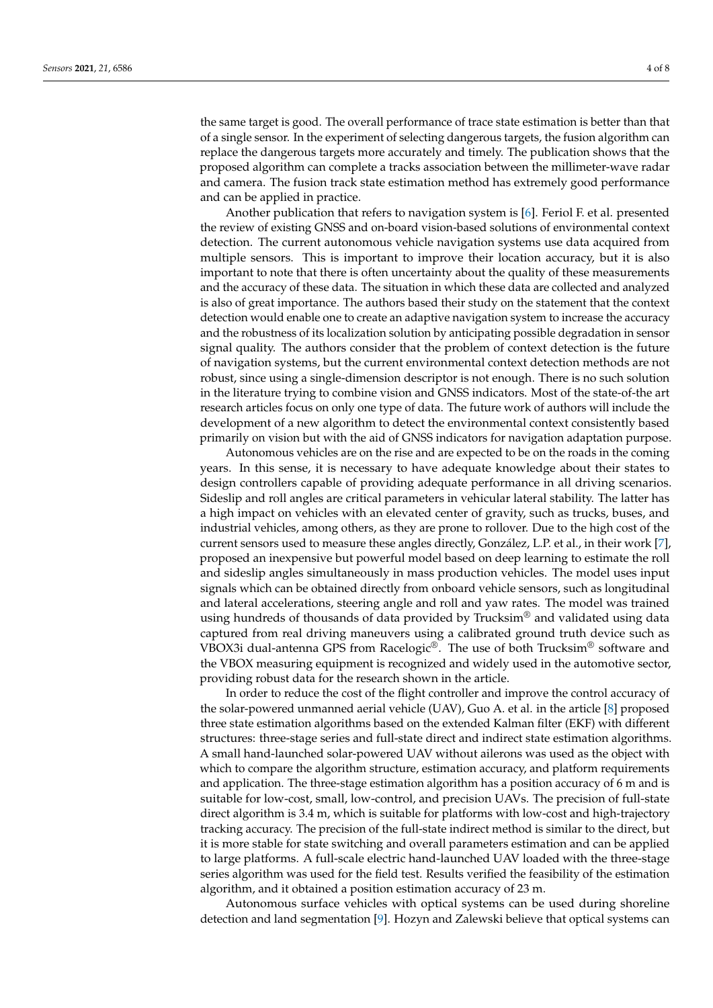the same target is good. The overall performance of trace state estimation is better than that of a single sensor. In the experiment of selecting dangerous targets, the fusion algorithm can replace the dangerous targets more accurately and timely. The publication shows that the proposed algorithm can complete a tracks association between the millimeter-wave radar and camera. The fusion track state estimation method has extremely good performance and can be applied in practice.

Another publication that refers to navigation system is [\[6\]](#page-7-3). Feriol F. et al. presented the review of existing GNSS and on-board vision-based solutions of environmental context detection. The current autonomous vehicle navigation systems use data acquired from multiple sensors. This is important to improve their location accuracy, but it is also important to note that there is often uncertainty about the quality of these measurements and the accuracy of these data. The situation in which these data are collected and analyzed is also of great importance. The authors based their study on the statement that the context detection would enable one to create an adaptive navigation system to increase the accuracy and the robustness of its localization solution by anticipating possible degradation in sensor signal quality. The authors consider that the problem of context detection is the future of navigation systems, but the current environmental context detection methods are not robust, since using a single-dimension descriptor is not enough. There is no such solution in the literature trying to combine vision and GNSS indicators. Most of the state-of-the art research articles focus on only one type of data. The future work of authors will include the development of a new algorithm to detect the environmental context consistently based primarily on vision but with the aid of GNSS indicators for navigation adaptation purpose.

Autonomous vehicles are on the rise and are expected to be on the roads in the coming years. In this sense, it is necessary to have adequate knowledge about their states to design controllers capable of providing adequate performance in all driving scenarios. Sideslip and roll angles are critical parameters in vehicular lateral stability. The latter has a high impact on vehicles with an elevated center of gravity, such as trucks, buses, and industrial vehicles, among others, as they are prone to rollover. Due to the high cost of the current sensors used to measure these angles directly, González, L.P. et al., in their work [\[7\]](#page-7-4), proposed an inexpensive but powerful model based on deep learning to estimate the roll and sideslip angles simultaneously in mass production vehicles. The model uses input signals which can be obtained directly from onboard vehicle sensors, such as longitudinal and lateral accelerations, steering angle and roll and yaw rates. The model was trained using hundreds of thousands of data provided by Trucksim<sup>®</sup> and validated using data captured from real driving maneuvers using a calibrated ground truth device such as VBOX3i dual-antenna GPS from Racelogic®. The use of both Trucksim® software and the VBOX measuring equipment is recognized and widely used in the automotive sector, providing robust data for the research shown in the article.

In order to reduce the cost of the flight controller and improve the control accuracy of the solar-powered unmanned aerial vehicle (UAV), Guo A. et al. in the article [\[8\]](#page-7-5) proposed three state estimation algorithms based on the extended Kalman filter (EKF) with different structures: three-stage series and full-state direct and indirect state estimation algorithms. A small hand-launched solar-powered UAV without ailerons was used as the object with which to compare the algorithm structure, estimation accuracy, and platform requirements and application. The three-stage estimation algorithm has a position accuracy of 6 m and is suitable for low-cost, small, low-control, and precision UAVs. The precision of full-state direct algorithm is 3.4 m, which is suitable for platforms with low-cost and high-trajectory tracking accuracy. The precision of the full-state indirect method is similar to the direct, but it is more stable for state switching and overall parameters estimation and can be applied to large platforms. A full-scale electric hand-launched UAV loaded with the three-stage series algorithm was used for the field test. Results verified the feasibility of the estimation algorithm, and it obtained a position estimation accuracy of 23 m.

Autonomous surface vehicles with optical systems can be used during shoreline detection and land segmentation [\[9\]](#page-7-6). Hozyn and Zalewski believe that optical systems can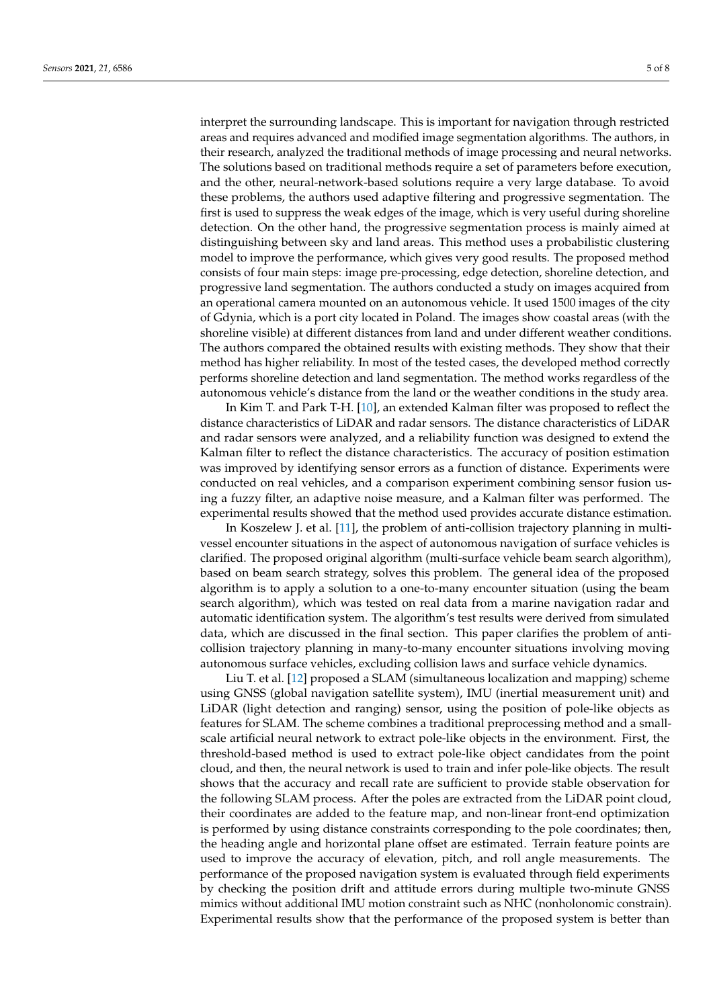interpret the surrounding landscape. This is important for navigation through restricted areas and requires advanced and modified image segmentation algorithms. The authors, in their research, analyzed the traditional methods of image processing and neural networks. The solutions based on traditional methods require a set of parameters before execution, and the other, neural-network-based solutions require a very large database. To avoid these problems, the authors used adaptive filtering and progressive segmentation. The first is used to suppress the weak edges of the image, which is very useful during shoreline detection. On the other hand, the progressive segmentation process is mainly aimed at distinguishing between sky and land areas. This method uses a probabilistic clustering model to improve the performance, which gives very good results. The proposed method consists of four main steps: image pre-processing, edge detection, shoreline detection, and progressive land segmentation. The authors conducted a study on images acquired from an operational camera mounted on an autonomous vehicle. It used 1500 images of the city of Gdynia, which is a port city located in Poland. The images show coastal areas (with the shoreline visible) at different distances from land and under different weather conditions. The authors compared the obtained results with existing methods. They show that their method has higher reliability. In most of the tested cases, the developed method correctly performs shoreline detection and land segmentation. The method works regardless of the autonomous vehicle's distance from the land or the weather conditions in the study area.

In Kim T. and Park T-H. [\[10\]](#page-7-7), an extended Kalman filter was proposed to reflect the distance characteristics of LiDAR and radar sensors. The distance characteristics of LiDAR and radar sensors were analyzed, and a reliability function was designed to extend the Kalman filter to reflect the distance characteristics. The accuracy of position estimation was improved by identifying sensor errors as a function of distance. Experiments were conducted on real vehicles, and a comparison experiment combining sensor fusion using a fuzzy filter, an adaptive noise measure, and a Kalman filter was performed. The experimental results showed that the method used provides accurate distance estimation.

In Koszelew J. et al. [\[11\]](#page-7-8), the problem of anti-collision trajectory planning in multivessel encounter situations in the aspect of autonomous navigation of surface vehicles is clarified. The proposed original algorithm (multi-surface vehicle beam search algorithm), based on beam search strategy, solves this problem. The general idea of the proposed algorithm is to apply a solution to a one-to-many encounter situation (using the beam search algorithm), which was tested on real data from a marine navigation radar and automatic identification system. The algorithm's test results were derived from simulated data, which are discussed in the final section. This paper clarifies the problem of anticollision trajectory planning in many-to-many encounter situations involving moving autonomous surface vehicles, excluding collision laws and surface vehicle dynamics.

Liu T. et al. [\[12\]](#page-7-9) proposed a SLAM (simultaneous localization and mapping) scheme using GNSS (global navigation satellite system), IMU (inertial measurement unit) and LiDAR (light detection and ranging) sensor, using the position of pole-like objects as features for SLAM. The scheme combines a traditional preprocessing method and a smallscale artificial neural network to extract pole-like objects in the environment. First, the threshold-based method is used to extract pole-like object candidates from the point cloud, and then, the neural network is used to train and infer pole-like objects. The result shows that the accuracy and recall rate are sufficient to provide stable observation for the following SLAM process. After the poles are extracted from the LiDAR point cloud, their coordinates are added to the feature map, and non-linear front-end optimization is performed by using distance constraints corresponding to the pole coordinates; then, the heading angle and horizontal plane offset are estimated. Terrain feature points are used to improve the accuracy of elevation, pitch, and roll angle measurements. The performance of the proposed navigation system is evaluated through field experiments by checking the position drift and attitude errors during multiple two-minute GNSS mimics without additional IMU motion constraint such as NHC (nonholonomic constrain). Experimental results show that the performance of the proposed system is better than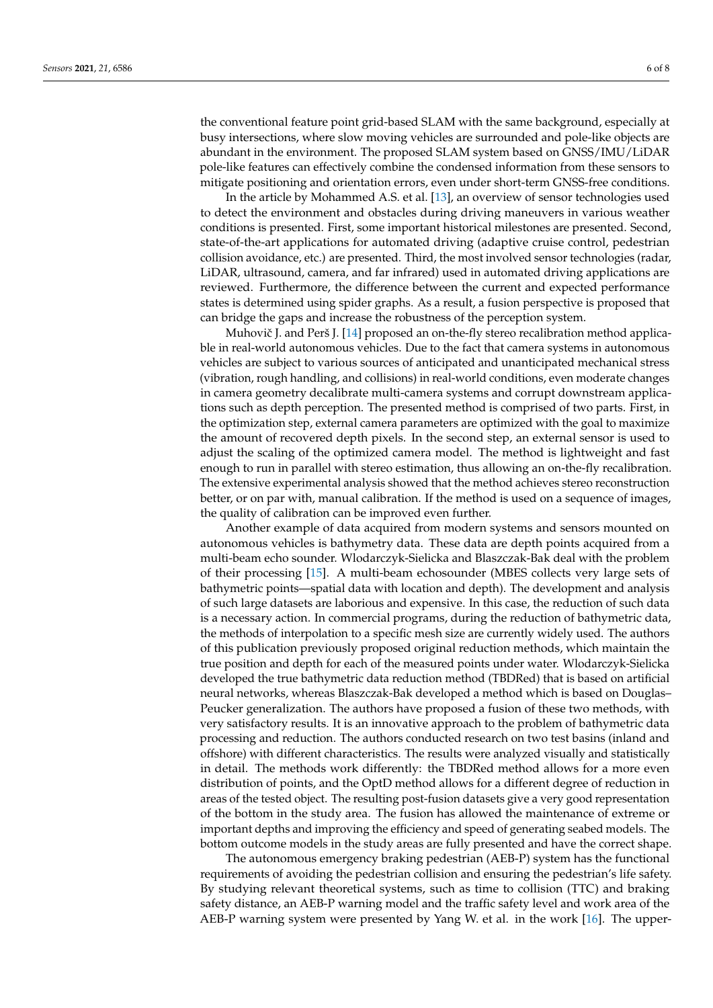the conventional feature point grid-based SLAM with the same background, especially at busy intersections, where slow moving vehicles are surrounded and pole-like objects are abundant in the environment. The proposed SLAM system based on GNSS/IMU/LiDAR pole-like features can effectively combine the condensed information from these sensors to mitigate positioning and orientation errors, even under short-term GNSS-free conditions.

In the article by Mohammed A.S. et al. [\[13\]](#page-7-10), an overview of sensor technologies used to detect the environment and obstacles during driving maneuvers in various weather conditions is presented. First, some important historical milestones are presented. Second, state-of-the-art applications for automated driving (adaptive cruise control, pedestrian collision avoidance, etc.) are presented. Third, the most involved sensor technologies (radar, LiDAR, ultrasound, camera, and far infrared) used in automated driving applications are reviewed. Furthermore, the difference between the current and expected performance states is determined using spider graphs. As a result, a fusion perspective is proposed that can bridge the gaps and increase the robustness of the perception system.

Muhovič J. and Perš J. [\[14\]](#page-7-11) proposed an on-the-fly stereo recalibration method applicable in real-world autonomous vehicles. Due to the fact that camera systems in autonomous vehicles are subject to various sources of anticipated and unanticipated mechanical stress (vibration, rough handling, and collisions) in real-world conditions, even moderate changes in camera geometry decalibrate multi-camera systems and corrupt downstream applications such as depth perception. The presented method is comprised of two parts. First, in the optimization step, external camera parameters are optimized with the goal to maximize the amount of recovered depth pixels. In the second step, an external sensor is used to adjust the scaling of the optimized camera model. The method is lightweight and fast enough to run in parallel with stereo estimation, thus allowing an on-the-fly recalibration. The extensive experimental analysis showed that the method achieves stereo reconstruction better, or on par with, manual calibration. If the method is used on a sequence of images, the quality of calibration can be improved even further.

Another example of data acquired from modern systems and sensors mounted on autonomous vehicles is bathymetry data. These data are depth points acquired from a multi-beam echo sounder. Wlodarczyk-Sielicka and Blaszczak-Bak deal with the problem of their processing [\[15\]](#page-7-12). A multi-beam echosounder (MBES collects very large sets of bathymetric points—spatial data with location and depth). The development and analysis of such large datasets are laborious and expensive. In this case, the reduction of such data is a necessary action. In commercial programs, during the reduction of bathymetric data, the methods of interpolation to a specific mesh size are currently widely used. The authors of this publication previously proposed original reduction methods, which maintain the true position and depth for each of the measured points under water. Wlodarczyk-Sielicka developed the true bathymetric data reduction method (TBDRed) that is based on artificial neural networks, whereas Blaszczak-Bak developed a method which is based on Douglas– Peucker generalization. The authors have proposed a fusion of these two methods, with very satisfactory results. It is an innovative approach to the problem of bathymetric data processing and reduction. The authors conducted research on two test basins (inland and offshore) with different characteristics. The results were analyzed visually and statistically in detail. The methods work differently: the TBDRed method allows for a more even distribution of points, and the OptD method allows for a different degree of reduction in areas of the tested object. The resulting post-fusion datasets give a very good representation of the bottom in the study area. The fusion has allowed the maintenance of extreme or important depths and improving the efficiency and speed of generating seabed models. The bottom outcome models in the study areas are fully presented and have the correct shape.

The autonomous emergency braking pedestrian (AEB-P) system has the functional requirements of avoiding the pedestrian collision and ensuring the pedestrian's life safety. By studying relevant theoretical systems, such as time to collision (TTC) and braking safety distance, an AEB-P warning model and the traffic safety level and work area of the AEB-P warning system were presented by Yang W. et al. in the work [\[16\]](#page-7-13). The upper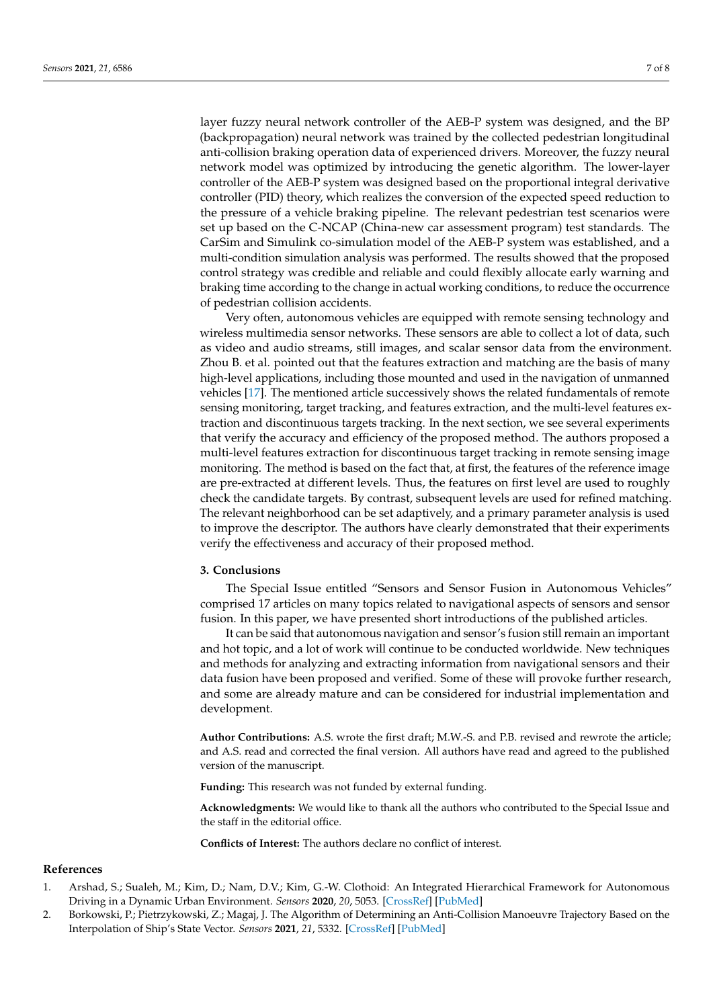layer fuzzy neural network controller of the AEB-P system was designed, and the BP (backpropagation) neural network was trained by the collected pedestrian longitudinal anti-collision braking operation data of experienced drivers. Moreover, the fuzzy neural network model was optimized by introducing the genetic algorithm. The lower-layer controller of the AEB-P system was designed based on the proportional integral derivative controller (PID) theory, which realizes the conversion of the expected speed reduction to the pressure of a vehicle braking pipeline. The relevant pedestrian test scenarios were set up based on the C-NCAP (China-new car assessment program) test standards. The CarSim and Simulink co-simulation model of the AEB-P system was established, and a multi-condition simulation analysis was performed. The results showed that the proposed control strategy was credible and reliable and could flexibly allocate early warning and braking time according to the change in actual working conditions, to reduce the occurrence of pedestrian collision accidents.

Very often, autonomous vehicles are equipped with remote sensing technology and wireless multimedia sensor networks. These sensors are able to collect a lot of data, such as video and audio streams, still images, and scalar sensor data from the environment. Zhou B. et al. pointed out that the features extraction and matching are the basis of many high-level applications, including those mounted and used in the navigation of unmanned vehicles [\[17\]](#page-7-14). The mentioned article successively shows the related fundamentals of remote sensing monitoring, target tracking, and features extraction, and the multi-level features extraction and discontinuous targets tracking. In the next section, we see several experiments that verify the accuracy and efficiency of the proposed method. The authors proposed a multi-level features extraction for discontinuous target tracking in remote sensing image monitoring. The method is based on the fact that, at first, the features of the reference image are pre-extracted at different levels. Thus, the features on first level are used to roughly check the candidate targets. By contrast, subsequent levels are used for refined matching. The relevant neighborhood can be set adaptively, and a primary parameter analysis is used to improve the descriptor. The authors have clearly demonstrated that their experiments verify the effectiveness and accuracy of their proposed method.

#### **3. Conclusions**

The Special Issue entitled "Sensors and Sensor Fusion in Autonomous Vehicles" comprised 17 articles on many topics related to navigational aspects of sensors and sensor fusion. In this paper, we have presented short introductions of the published articles.

It can be said that autonomous navigation and sensor's fusion still remain an important and hot topic, and a lot of work will continue to be conducted worldwide. New techniques and methods for analyzing and extracting information from navigational sensors and their data fusion have been proposed and verified. Some of these will provoke further research, and some are already mature and can be considered for industrial implementation and development.

**Author Contributions:** A.S. wrote the first draft; M.W.-S. and P.B. revised and rewrote the article; and A.S. read and corrected the final version. All authors have read and agreed to the published version of the manuscript.

**Funding:** This research was not funded by external funding.

**Acknowledgments:** We would like to thank all the authors who contributed to the Special Issue and the staff in the editorial office.

**Conflicts of Interest:** The authors declare no conflict of interest.

#### **References**

- <span id="page-6-0"></span>1. Arshad, S.; Sualeh, M.; Kim, D.; Nam, D.V.; Kim, G.-W. Clothoid: An Integrated Hierarchical Framework for Autonomous Driving in a Dynamic Urban Environment. *Sensors* **2020**, *20*, 5053. [\[CrossRef\]](http://doi.org/10.3390/s20185053) [\[PubMed\]](http://www.ncbi.nlm.nih.gov/pubmed/32899543)
- <span id="page-6-1"></span>2. Borkowski, P.; Pietrzykowski, Z.; Magaj, J. The Algorithm of Determining an Anti-Collision Manoeuvre Trajectory Based on the Interpolation of Ship's State Vector. *Sensors* **2021**, *21*, 5332. [\[CrossRef\]](http://doi.org/10.3390/s21165332) [\[PubMed\]](http://www.ncbi.nlm.nih.gov/pubmed/34450774)